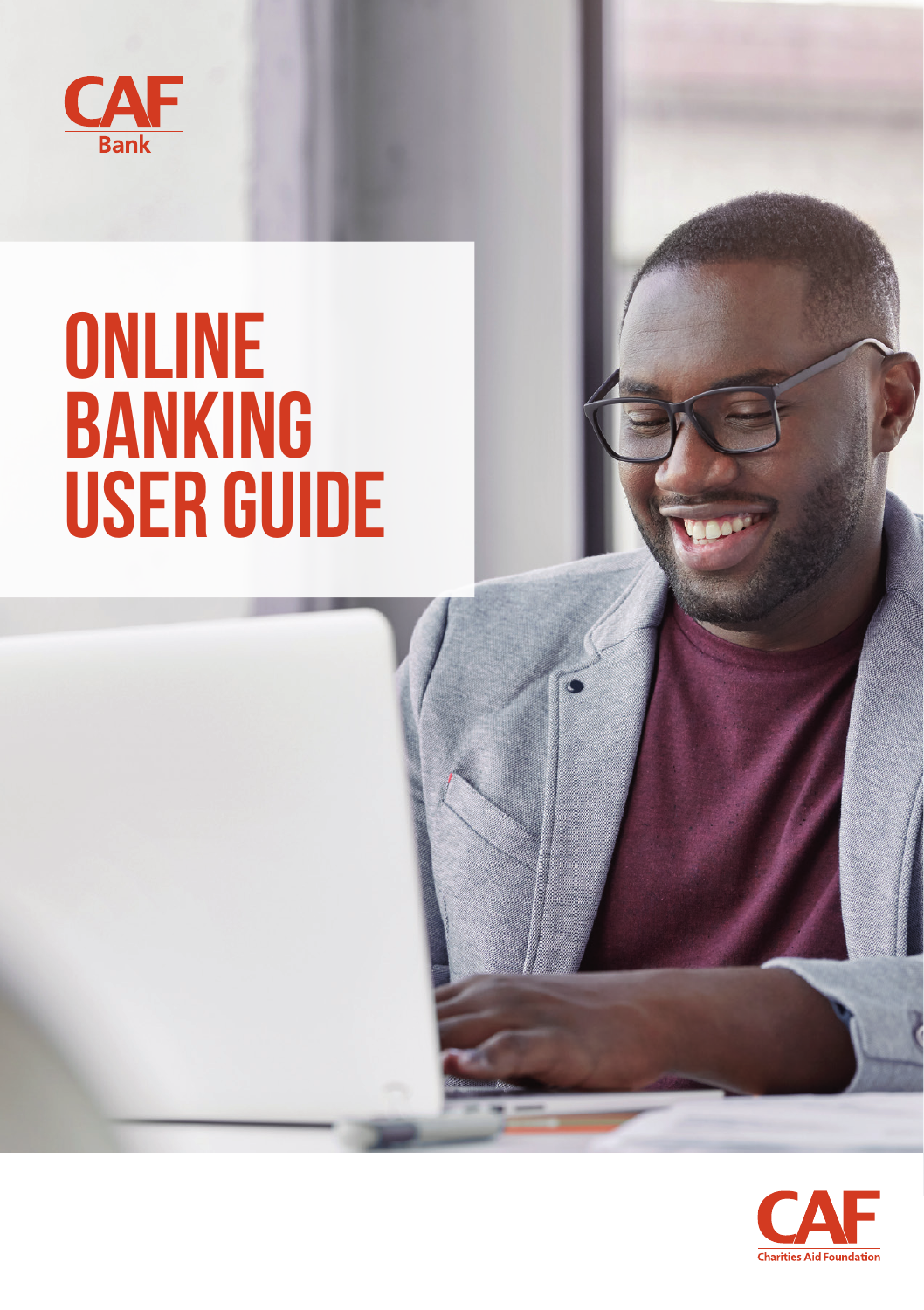

# **ONLINE BANKING USER GUIDE**

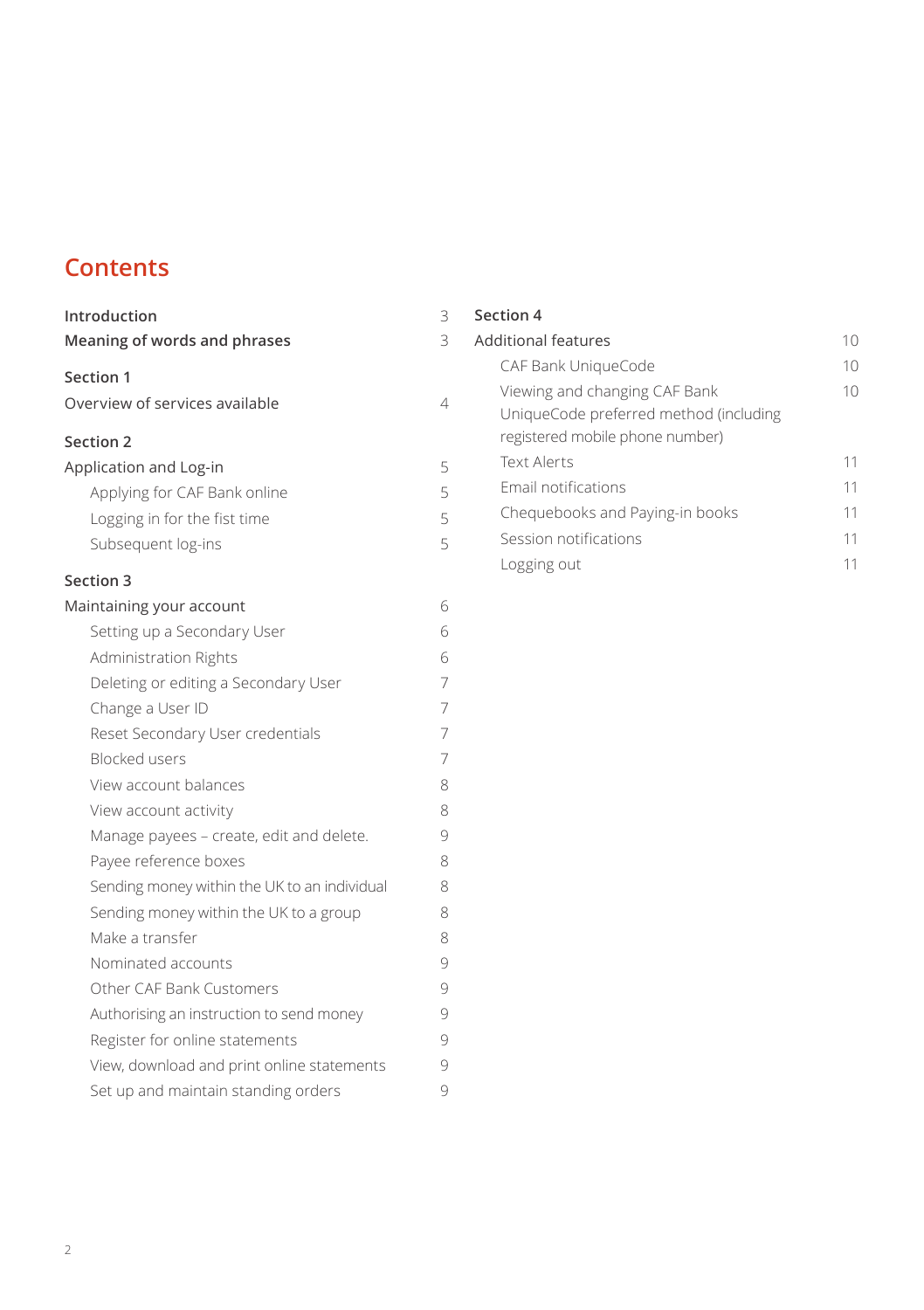### **Contents**

| Introduction                                 | 3 |
|----------------------------------------------|---|
| <b>Meaning of words and phrases</b>          | 3 |
| Section 1                                    |   |
| Overview of services available               | 4 |
| <b>Section 2</b>                             |   |
| Application and Log-in                       | 5 |
| Applying for CAF Bank online                 | 5 |
| Logging in for the fist time                 | 5 |
| Subsequent log-ins                           | 5 |
| <b>Section 3</b>                             |   |
| Maintaining your account                     | 6 |
| Setting up a Secondary User                  | 6 |
| Administration Rights                        | 6 |
| Deleting or editing a Secondary User         | 7 |
| Change a User ID                             | 7 |
| Reset Secondary User credentials             | 7 |
| <b>Blocked users</b>                         | 7 |
| View account balances                        | 8 |
| View account activity                        | 8 |
| Manage payees - create, edit and delete.     | 9 |
| Payee reference boxes                        | 8 |
| Sending money within the UK to an individual | 8 |
| Sending money within the UK to a group       | 8 |
| Make a transfer                              | 8 |
| Nominated accounts                           | 9 |
| Other CAF Bank Customers                     | 9 |
| Authorising an instruction to send money     | 9 |
| Register for online statements               | 9 |
| View, download and print online statements   | 9 |
| Set up and maintain standing orders          | 9 |

### **Section 4** Additional features 10 CAF Bank UniqueCode 10 Viewing and changing CAF Bank 10 UniqueCode preferred method (including registered mobile phone number) Text Alerts 11 Email notifications 11 Chequebooks and Paying-in books 11 Session notifications 11 Logging out 11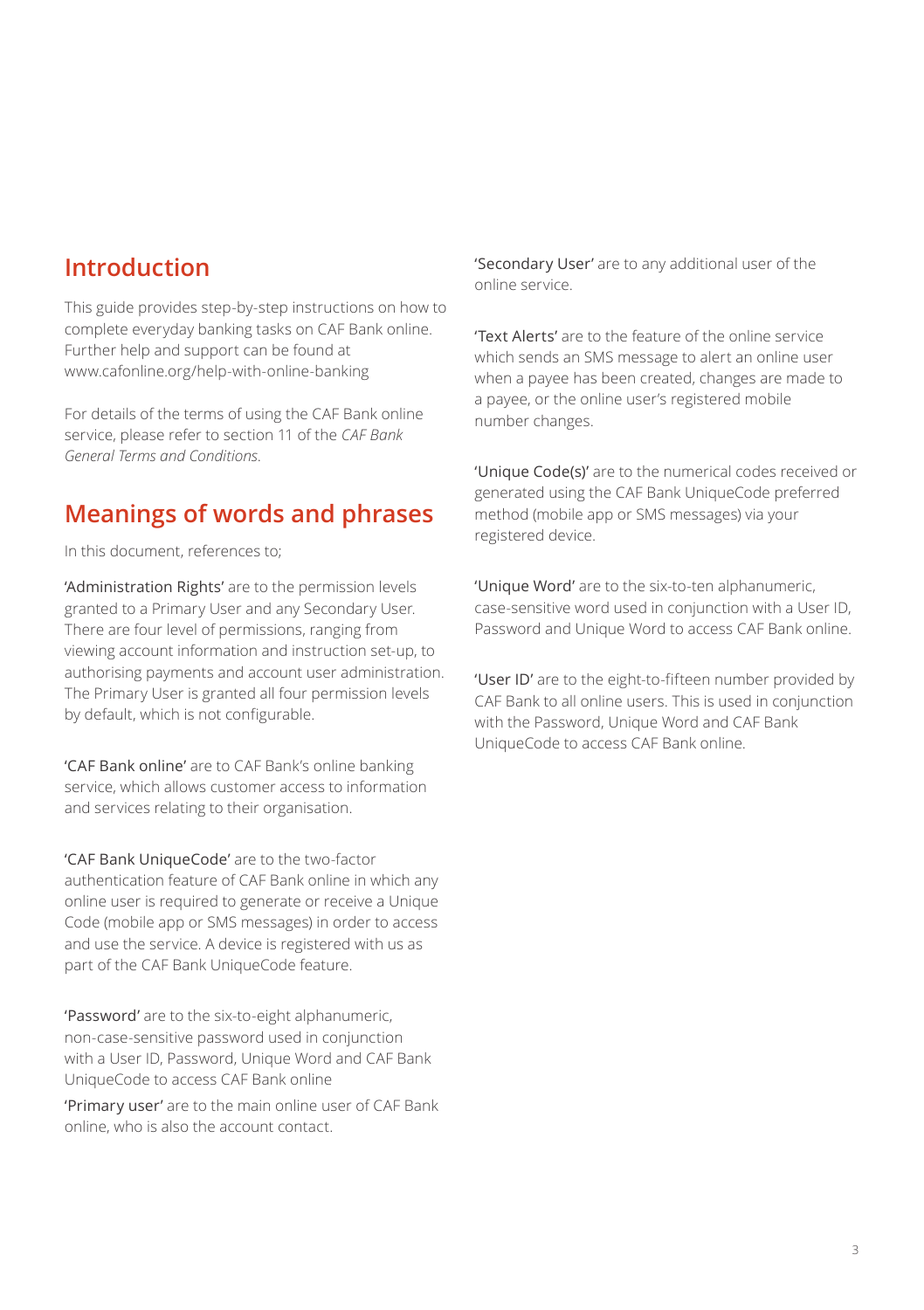### **Introduction**

This guide provides step-by-step instructions on how to complete everyday banking tasks on CAF Bank online. Further help and support can be found at [www.cafonline.org/help-with-online-banking](http://www.cafonline.org/help-with-online-banking)

For details of the terms of using the CAF Bank online service, please refer to section 11 of the *CAF Bank General Terms and Conditions*.

### **Meanings of words and phrases**

In this document, references to;

'Administration Rights' are to the permission levels granted to a Primary User and any Secondary User. There are four level of permissions, ranging from viewing account information and instruction set-up, to authorising payments and account user administration. The Primary User is granted all four permission levels by default, which is not configurable.

'CAF Bank online' are to CAF Bank's online banking service, which allows customer access to information and services relating to their organisation.

'CAF Bank UniqueCode' are to the two-factor authentication feature of CAF Bank online in which any online user is required to generate or receive a Unique Code (mobile app or SMS messages) in order to access and use the service. A device is registered with us as part of the CAF Bank UniqueCode feature.

'Password' are to the six-to-eight alphanumeric, non-case-sensitive password used in conjunction with a User ID, Password, Unique Word and CAF Bank UniqueCode to access CAF Bank online

'Primary user' are to the main online user of CAF Bank online, who is also the account contact.

'Secondary User' are to any additional user of the online service.

'Text Alerts' are to the feature of the online service which sends an SMS message to alert an online user when a payee has been created, changes are made to a payee, or the online user's registered mobile number changes.

'Unique Code(s)' are to the numerical codes received or generated using the CAF Bank UniqueCode preferred method (mobile app or SMS messages) via your registered device.

'Unique Word' are to the six-to-ten alphanumeric, case-sensitive word used in conjunction with a User ID, Password and Unique Word to access CAF Bank online.

'User ID' are to the eight-to-fifteen number provided by CAF Bank to all online users. This is used in conjunction with the Password, Unique Word and CAF Bank UniqueCode to access CAF Bank online.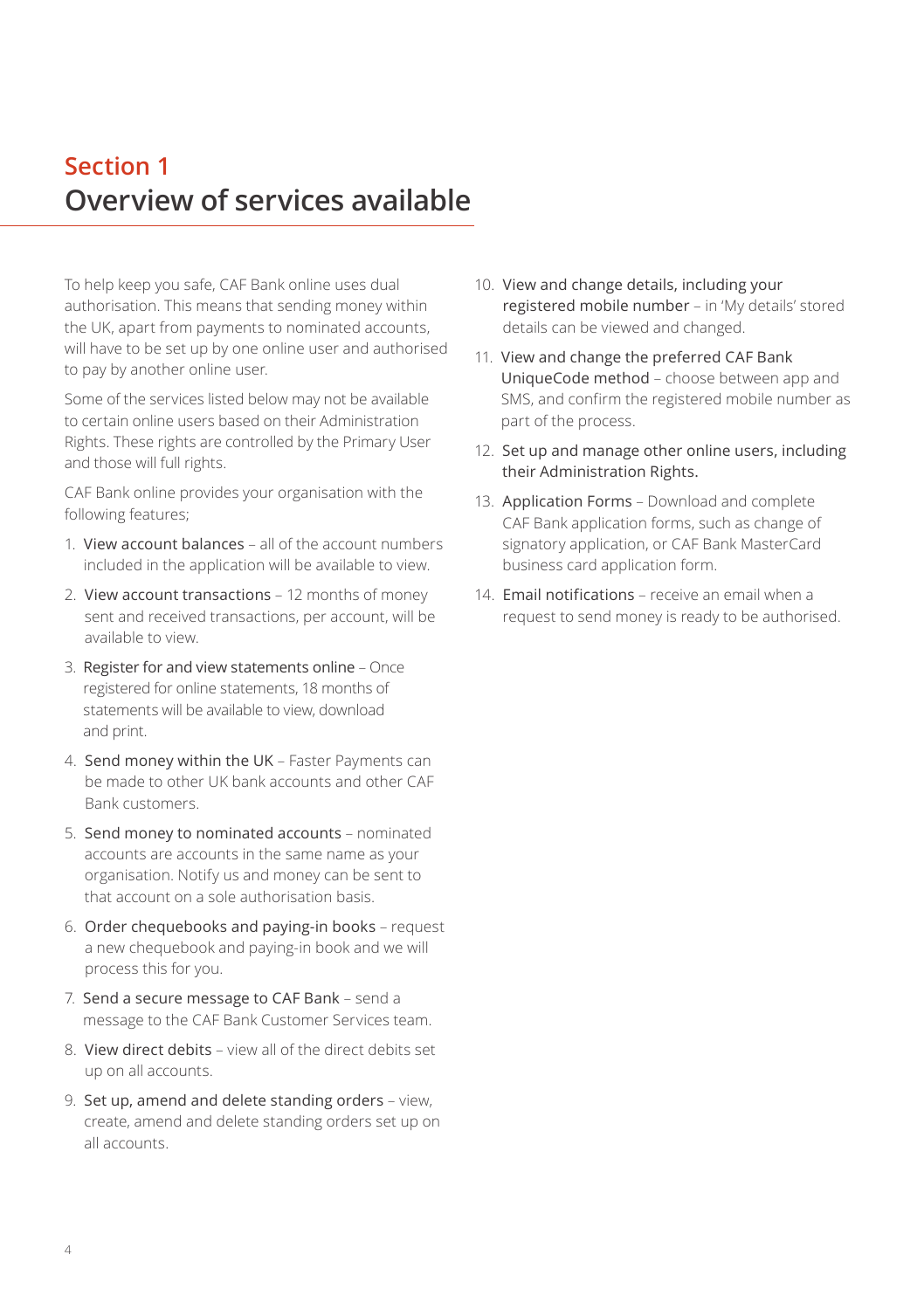# **Section 1 Overview of services available**

To help keep you safe, CAF Bank online uses dual authorisation. This means that sending money within the UK, apart from payments to nominated accounts, will have to be set up by one online user and authorised to pay by another online user.

Some of the services listed below may not be available to certain online users based on their Administration Rights. These rights are controlled by the Primary User and those will full rights.

CAF Bank online provides your organisation with the following features;

- 1. View account balances all of the account numbers included in the application will be available to view.
- 2. View account transactions 12 months of money sent and received transactions, per account, will be available to view.
- 3. Register for and view statements online Once registered for online statements, 18 months of statements will be available to view, download and print.
- 4. Send money within the UK Faster Payments can be made to other UK bank accounts and other CAF Bank customers.
- 5. Send money to nominated accounts nominated accounts are accounts in the same name as your organisation. Notify us and money can be sent to that account on a sole authorisation basis.
- 6. Order chequebooks and paying-in books request a new chequebook and paying-in book and we will process this for you.
- 7. Send a secure message to CAF Bank send a message to the CAF Bank Customer Services team.
- 8. View direct debits view all of the direct debits set up on all accounts.
- 9. Set up, amend and delete standing orders view, create, amend and delete standing orders set up on all accounts.
- 10. View and change details, including your registered mobile number – in 'My details' stored details can be viewed and changed.
- 11. View and change the preferred CAF Bank UniqueCode method – choose between app and SMS, and confirm the registered mobile number as part of the process.
- 12. Set up and manage other online users, including their Administration Rights.
- 13. Application Forms Download and complete CAF Bank application forms, such as change of signatory application, or CAF Bank MasterCard business card application form.
- 14. Email notifications receive an email when a request to send money is ready to be authorised.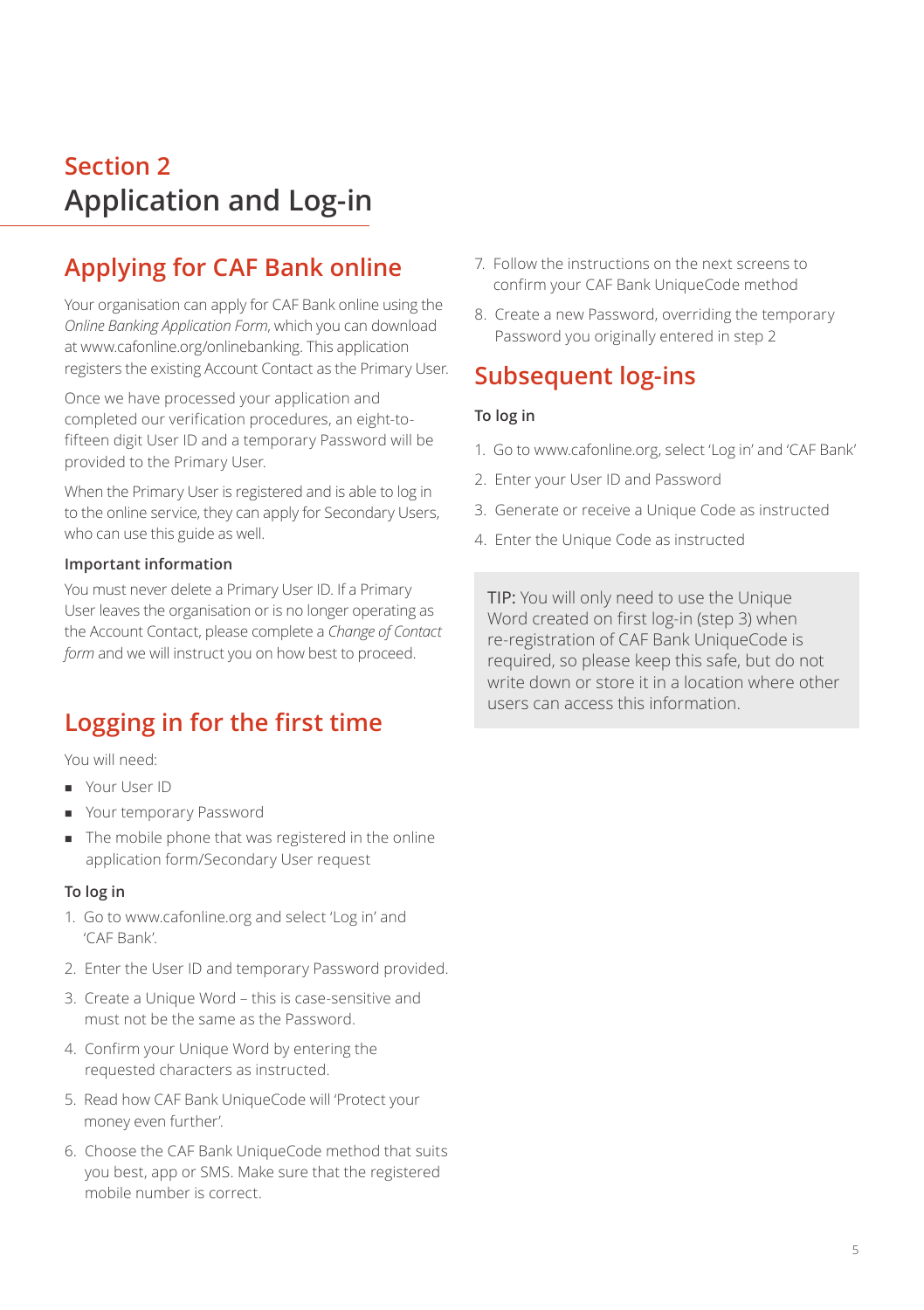# **Section 2 Application and Log-in**

# **Applying for CAF Bank online**

Your organisation can apply for CAF Bank online using the *Online Banking Application Form*, which you can download at [www.cafonline.org/onlinebanking.](http://www.cafonline.org/onlinebanking) This application registers the existing Account Contact as the Primary User.

Once we have processed your application and completed our verification procedures, an eight-tofifteen digit User ID and a temporary Password will be provided to the Primary User.

When the Primary User is registered and is able to log in to the online service, they can apply for Secondary Users, who can use this guide as well.

### **Important information**

You must never delete a Primary User ID. If a Primary User leaves the organisation or is no longer operating as the Account Contact, please complete a *Change of Contact form* and we will instruct you on how best to proceed.

# **Logging in for the first time**

You will need:

- **Nour User ID**
- Your temporary Password
- The mobile phone that was registered in the online application form/Secondary User request

#### **To log in**

- 1. Go to www.cafonline.org and select 'Log in' and 'CAF Bank'.
- 2. Enter the User ID and temporary Password provided.
- 3. Create a Unique Word this is case-sensitive and must not be the same as the Password.
- 4. Confirm your Unique Word by entering the requested characters as instructed.
- 5. Read how CAF Bank UniqueCode will 'Protect your money even further'.
- 6. Choose the CAF Bank UniqueCode method that suits you best, app or SMS. Make sure that the registered mobile number is correct.
- 7. Follow the instructions on the next screens to confirm your CAF Bank UniqueCode method
- 8. Create a new Password, overriding the temporary Password you originally entered in step 2

### **Subsequent log-ins**

### **To log in**

- 1. Go to www.cafonline.org, select 'Log in' and 'CAF Bank'
- 2. Enter your User ID and Password
- 3. Generate or receive a Unique Code as instructed
- 4. Enter the Unique Code as instructed

TIP: You will only need to use the Unique Word created on first log-in (step 3) when re-registration of CAF Bank UniqueCode is required, so please keep this safe, but do not write down or store it in a location where other users can access this information.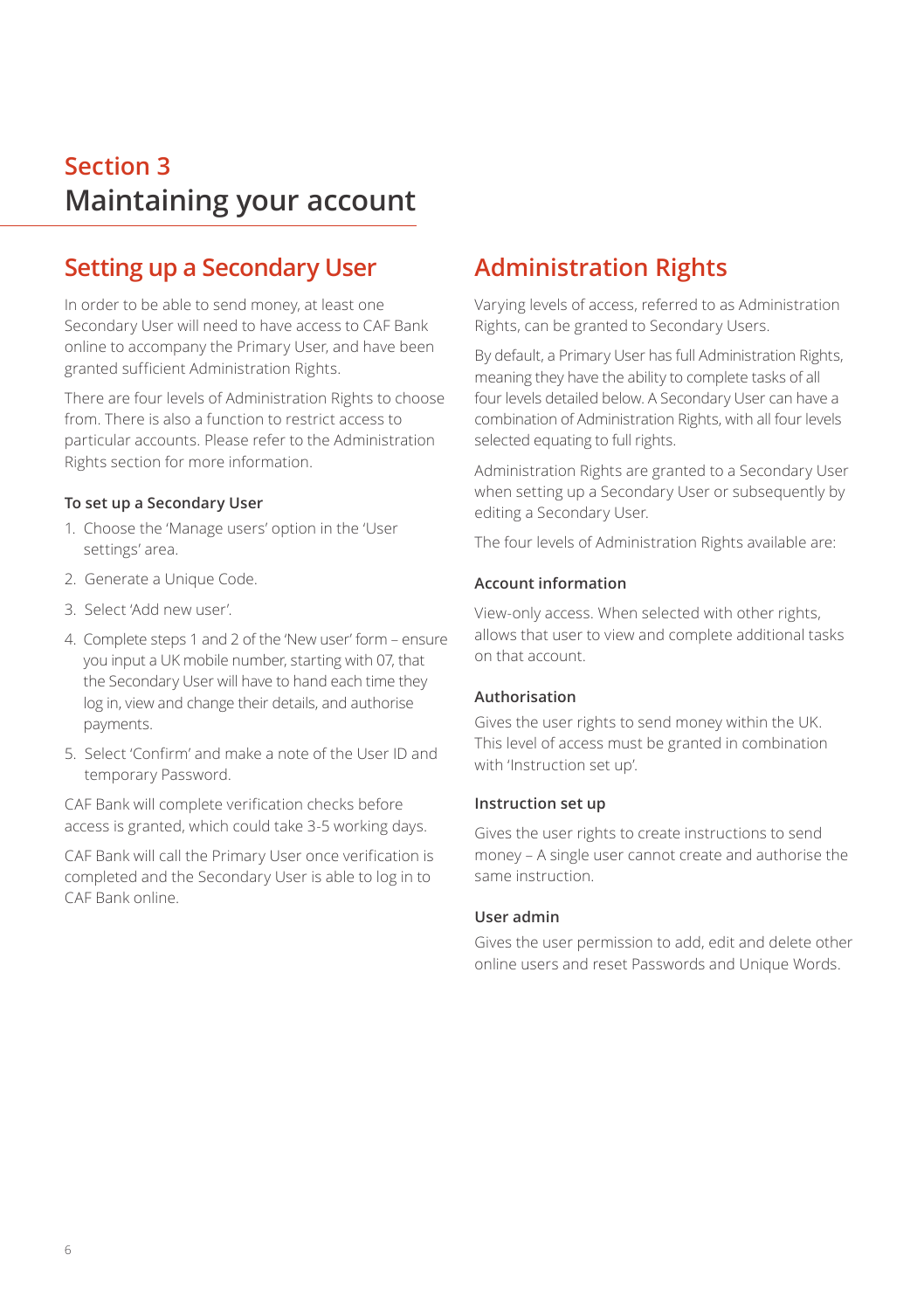# **Section 3 Maintaining your account**

### **Setting up a Secondary User**

In order to be able to send money, at least one Secondary User will need to have access to CAF Bank online to accompany the Primary User, and have been granted sufficient Administration Rights.

There are four levels of Administration Rights to choose from. There is also a function to restrict access to particular accounts. Please refer to the Administration Rights section for more information.

#### **To set up a Secondary User**

- 1. Choose the 'Manage users' option in the 'User settings' area.
- 2. Generate a Unique Code.
- 3. Select 'Add new user'.
- 4. Complete steps 1 and 2 of the 'New user' form ensure you input a UK mobile number, starting with 07, that the Secondary User will have to hand each time they log in, view and change their details, and authorise payments.
- 5. Select 'Confirm' and make a note of the User ID and temporary Password.

CAF Bank will complete verification checks before access is granted, which could take 3-5 working days.

CAF Bank will call the Primary User once verification is completed and the Secondary User is able to log in to CAF Bank online.

# **Administration Rights**

Varying levels of access, referred to as Administration Rights, can be granted to Secondary Users.

By default, a Primary User has full Administration Rights, meaning they have the ability to complete tasks of all four levels detailed below. A Secondary User can have a combination of Administration Rights, with all four levels selected equating to full rights.

Administration Rights are granted to a Secondary User when setting up a Secondary User or subsequently by editing a Secondary User.

The four levels of Administration Rights available are:

#### **Account information**

View-only access. When selected with other rights, allows that user to view and complete additional tasks on that account.

#### **Authorisation**

Gives the user rights to send money within the UK. This level of access must be granted in combination with 'Instruction set up'.

#### **Instruction set up**

Gives the user rights to create instructions to send money – A single user cannot create and authorise the same instruction.

#### **User admin**

Gives the user permission to add, edit and delete other online users and reset Passwords and Unique Words.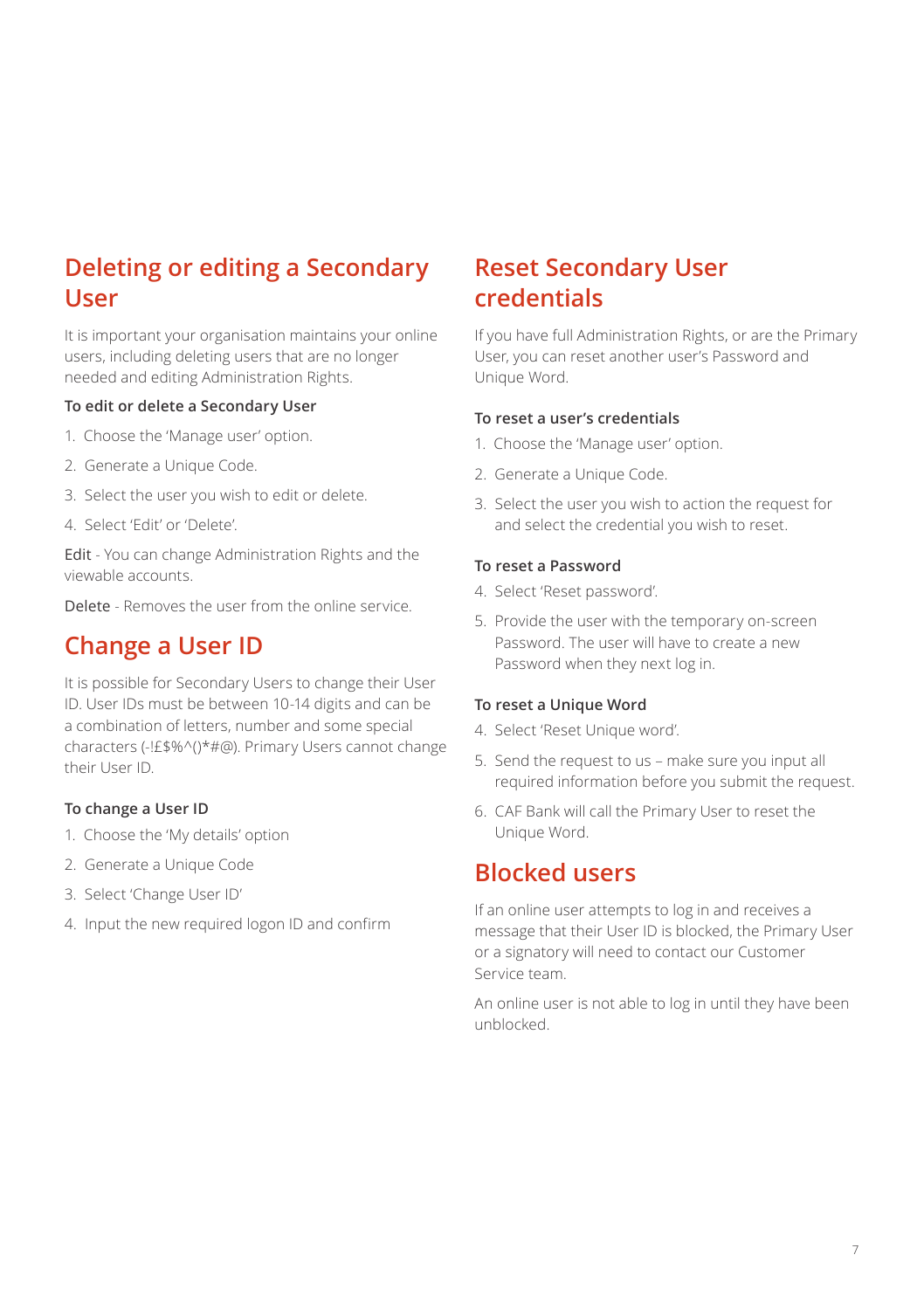# **Deleting or editing a Secondary User**

It is important your organisation maintains your online users, including deleting users that are no longer needed and editing Administration Rights.

#### **To edit or delete a Secondary User**

- 1. Choose the 'Manage user' option.
- 2. Generate a Unique Code.
- 3. Select the user you wish to edit or delete.
- 4. Select 'Edit' or 'Delete'.

Edit - You can change Administration Rights and the viewable accounts.

Delete - Removes the user from the online service.

### **Change a User ID**

It is possible for Secondary Users to change their User ID. User IDs must be between 10-14 digits and can be a combination of letters, number and some special characters (-!£\$%^()\*#@). Primary Users cannot change their User ID.

#### **To change a User ID**

- 1. Choose the 'My details' option
- 2. Generate a Unique Code
- 3. Select 'Change User ID'
- 4. Input the new required logon ID and confirm

### **Reset Secondary User credentials**

If you have full Administration Rights, or are the Primary User, you can reset another user's Password and Unique Word.

#### **To reset a user's credentials**

- 1. Choose the 'Manage user' option.
- 2. Generate a Unique Code.
- 3. Select the user you wish to action the request for and select the credential you wish to reset.

#### **To reset a Password**

- 4. Select 'Reset password'.
- 5. Provide the user with the temporary on-screen Password. The user will have to create a new Password when they next log in.

#### **To reset a Unique Word**

- 4. Select 'Reset Unique word'.
- 5. Send the request to us make sure you input all required information before you submit the request.
- 6. CAF Bank will call the Primary User to reset the Unique Word.

### **Blocked users**

If an online user attempts to log in and receives a message that their User ID is blocked, the Primary User or a signatory will need to contact our Customer Service team.

An online user is not able to log in until they have been unblocked.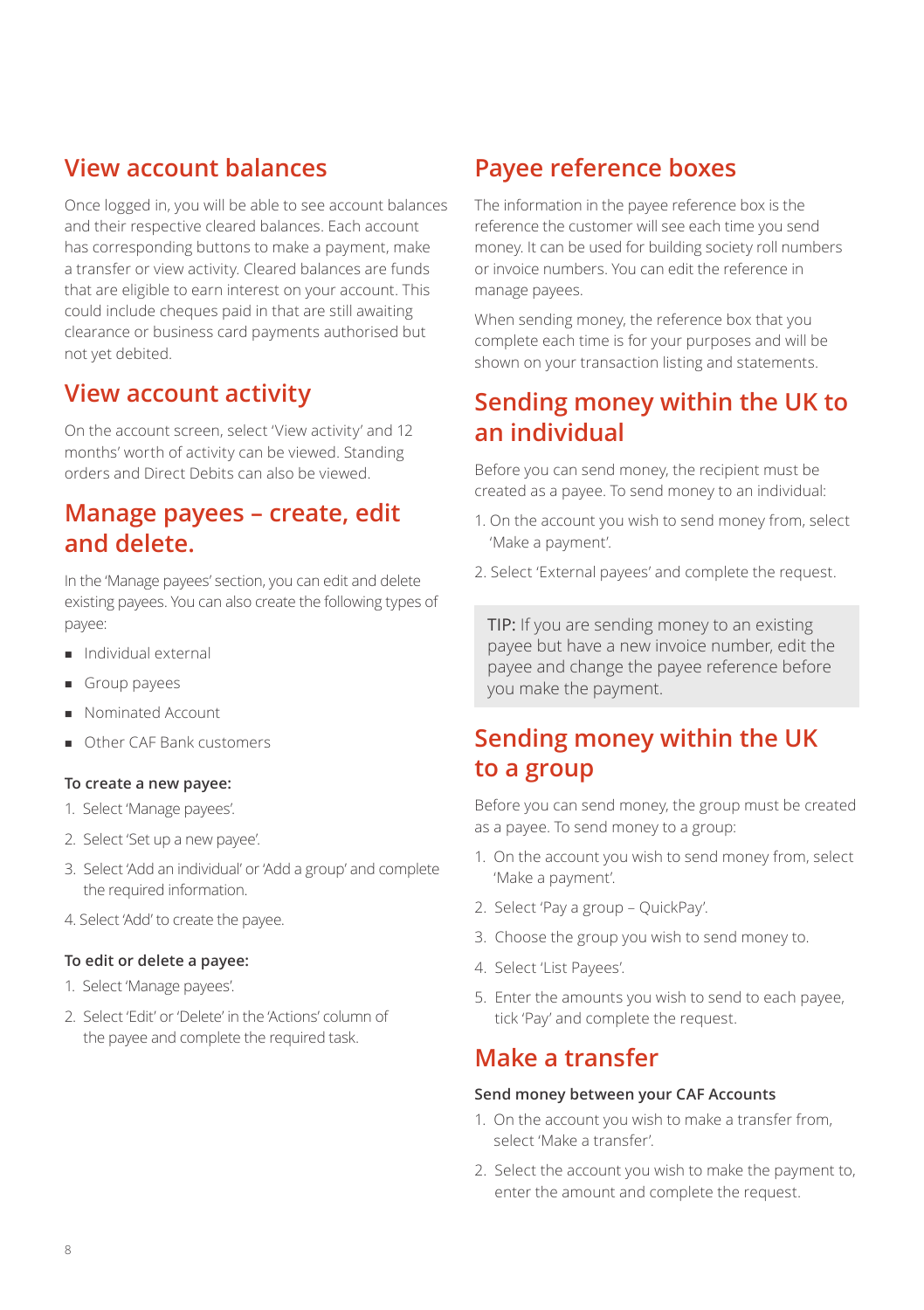### **View account balances**

Once logged in, you will be able to see account balances and their respective cleared balances. Each account has corresponding buttons to make a payment, make a transfer or view activity. Cleared balances are funds that are eligible to earn interest on your account. This could include cheques paid in that are still awaiting clearance or business card payments authorised but not yet debited.

### **View account activity**

On the account screen, select 'View activity' and 12 months' worth of activity can be viewed. Standing orders and Direct Debits can also be viewed.

### **Manage payees – create, edit and delete.**

In the 'Manage payees' section, you can edit and delete existing payees. You can also create the following types of payee:

- **n** Individual external
- **n** Group payees
- **Nominated Account**
- Other CAF Bank customers

#### **To create a new payee:**

- 1. Select 'Manage payees'.
- 2. Select 'Set up a new payee'.
- 3. Select 'Add an individual' or 'Add a group' and complete the required information.
- 4. Select 'Add' to create the payee.

#### **To edit or delete a payee:**

- 1. Select 'Manage payees'.
- 2. Select 'Edit' or 'Delete' in the 'Actions' column of the payee and complete the required task.

### **Payee reference boxes**

The information in the payee reference box is the reference the customer will see each time you send money. It can be used for building society roll numbers or invoice numbers. You can edit the reference in manage payees.

When sending money, the reference box that you complete each time is for your purposes and will be shown on your transaction listing and statements.

### **Sending money within the UK to an individual**

Before you can send money, the recipient must be created as a payee. To send money to an individual:

- 1. On the account you wish to send money from, select 'Make a payment'.
- 2. Select 'External payees' and complete the request.

TIP: If you are sending money to an existing payee but have a new invoice number, edit the payee and change the payee reference before you make the payment.

### **Sending money within the UK to a group**

Before you can send money, the group must be created as a payee. To send money to a group:

- 1. On the account you wish to send money from, select 'Make a payment'.
- 2. Select 'Pay a group QuickPay'.
- 3. Choose the group you wish to send money to.
- 4. Select 'List Payees'.
- 5. Enter the amounts you wish to send to each payee, tick 'Pay' and complete the request.

### **Make a transfer**

#### **Send money between your CAF Accounts**

- 1. On the account you wish to make a transfer from, select 'Make a transfer'.
- 2. Select the account you wish to make the payment to, enter the amount and complete the request.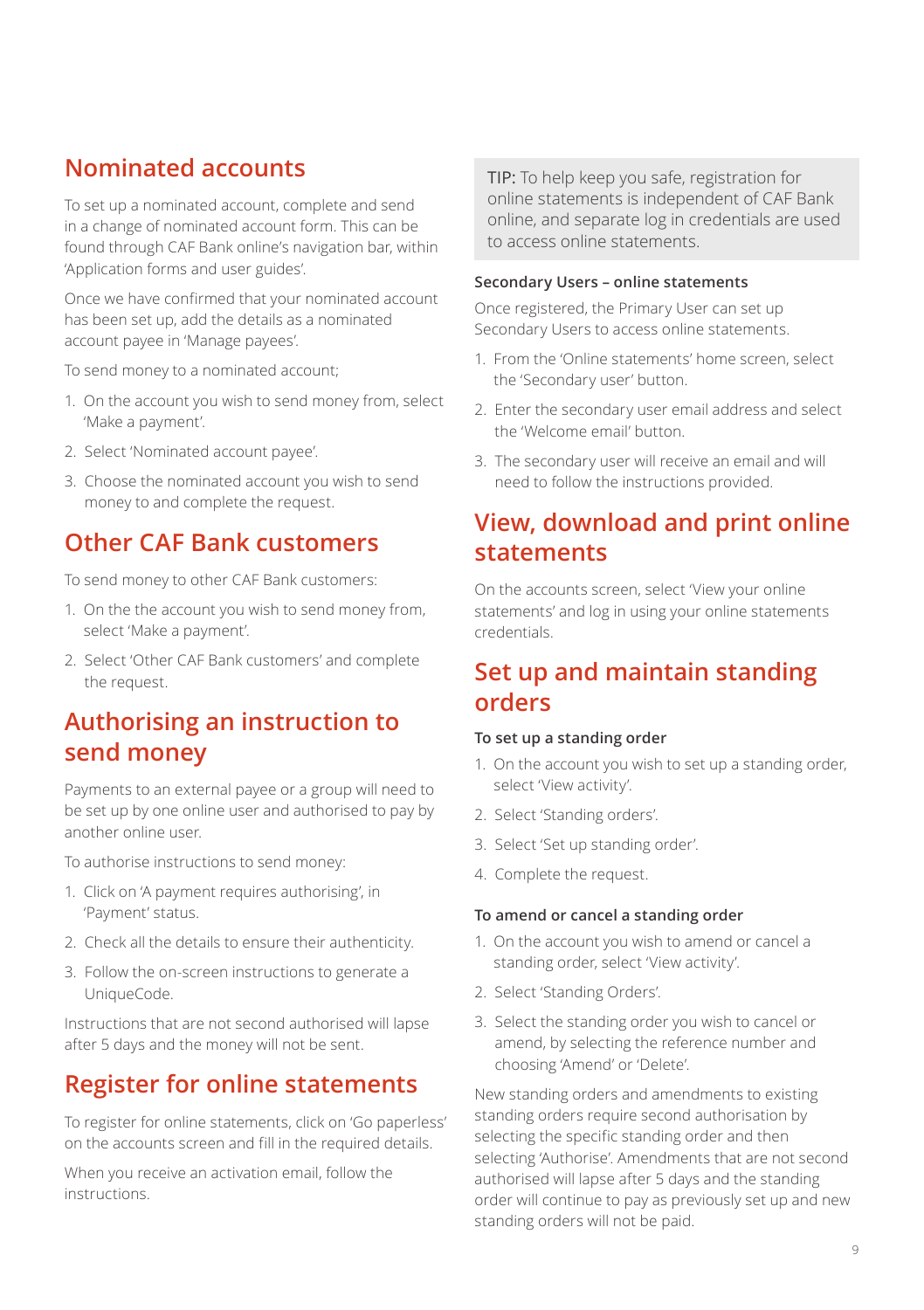### **Nominated accounts**

To set up a nominated account, complete and send in a change of nominated account form. This can be found through CAF Bank online's navigation bar, within 'Application forms and user guides'.

Once we have confirmed that your nominated account has been set up, add the details as a nominated account payee in 'Manage payees'.

To send money to a nominated account;

- 1. On the account you wish to send money from, select 'Make a payment'.
- 2. Select 'Nominated account payee'.
- 3. Choose the nominated account you wish to send money to and complete the request.

### **Other CAF Bank customers**

To send money to other CAF Bank customers:

- 1. On the the account you wish to send money from, select 'Make a payment'.
- 2. Select 'Other CAF Bank customers' and complete the request.

### **Authorising an instruction to send money**

Payments to an external payee or a group will need to be set up by one online user and authorised to pay by another online user.

To authorise instructions to send money:

- 1. Click on 'A payment requires authorising', in 'Payment' status.
- 2. Check all the details to ensure their authenticity.
- 3. Follow the on-screen instructions to generate a UniqueCode.

Instructions that are not second authorised will lapse after 5 days and the money will not be sent.

### **Register for online statements**

To register for online statements, click on 'Go paperless' on the accounts screen and fill in the required details.

When you receive an activation email, follow the instructions.

TIP: To help keep you safe, registration for online statements is independent of CAF Bank online, and separate log in credentials are used to access online statements.

#### **Secondary Users – online statements**

Once registered, the Primary User can set up Secondary Users to access online statements.

- 1. From the 'Online statements' home screen, select the 'Secondary user' button.
- 2. Enter the secondary user email address and select the 'Welcome email' button.
- 3. The secondary user will receive an email and will need to follow the instructions provided.

# **View, download and print online statements**

On the accounts screen, select 'View your online statements' and log in using your online statements credentials.

### **Set up and maintain standing orders**

#### **To set up a standing order**

- 1. On the account you wish to set up a standing order, select 'View activity'.
- 2. Select 'Standing orders'.
- 3. Select 'Set up standing order'.
- 4. Complete the request.

#### **To amend or cancel a standing order**

- 1. On the account you wish to amend or cancel a standing order, select 'View activity'.
- 2. Select 'Standing Orders'.
- 3. Select the standing order you wish to cancel or amend, by selecting the reference number and choosing 'Amend' or 'Delete'.

New standing orders and amendments to existing standing orders require second authorisation by selecting the specific standing order and then selecting 'Authorise'. Amendments that are not second authorised will lapse after 5 days and the standing order will continue to pay as previously set up and new standing orders will not be paid.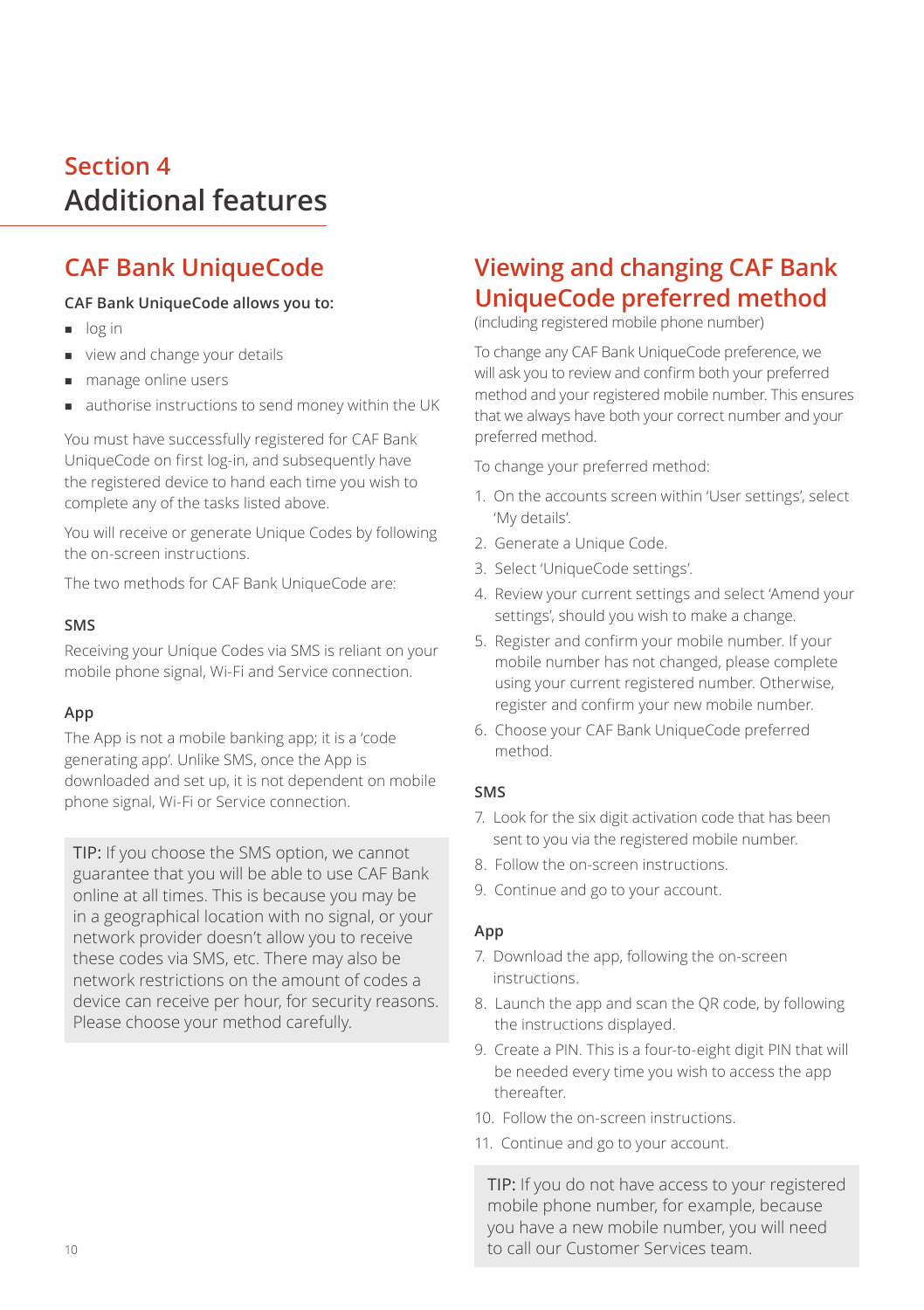# **Section 4 Additional features**

# **CAF Bank UniqueCode**

### **CAF Bank UniqueCode allows you to:**

- og in
- view and change your details
- **n** manage online users
- u authorise instructions to send money within the UK

You must have successfully registered for CAF Bank UniqueCode on first log-in, and subsequently have the registered device to hand each time you wish to complete any of the tasks listed above.

You will receive or generate Unique Codes by following the on-screen instructions.

The two methods for CAF Bank UniqueCode are:

### **SMS**

Receiving your Unique Codes via SMS is reliant on your mobile phone signal, Wi-Fi and Service connection.

### **App**

The App is not a mobile banking app; it is a 'code generating app'. Unlike SMS, once the App is downloaded and set up, it is not dependent on mobile phone signal, Wi-Fi or Service connection.

TIP: If you choose the SMS option, we cannot guarantee that you will be able to use CAF Bank online at all times. This is because you may be in a geographical location with no signal, or your network provider doesn't allow you to receive these codes via SMS, etc. There may also be network restrictions on the amount of codes a device can receive per hour, for security reasons. Please choose your method carefully.

### **Viewing and changing CAF Bank UniqueCode preferred method**

(including registered mobile phone number)

To change any CAF Bank UniqueCode preference, we will ask you to review and confirm both your preferred method and your registered mobile number. This ensures that we always have both your correct number and your preferred method.

To change your preferred method:

- 1. On the accounts screen within 'User settings', select 'My details'.
- 2. Generate a Unique Code.
- 3. Select 'UniqueCode settings'.
- 4. Review your current settings and select 'Amend your settings', should you wish to make a change.
- 5. Register and confirm your mobile number. If your mobile number has not changed, please complete using your current registered number. Otherwise, register and confirm your new mobile number.
- 6. Choose your CAF Bank UniqueCode preferred method.

### **SMS**

- 7. Look for the six digit activation code that has been sent to you via the registered mobile number.
- 8. Follow the on-screen instructions.
- 9. Continue and go to your account.

### **App**

- 7. Download the app, following the on-screen instructions.
- 8. Launch the app and scan the QR code, by following the instructions displayed.
- 9. Create a PIN. This is a four-to-eight digit PIN that will be needed every time you wish to access the app thereafter.
- 10. Follow the on-screen instructions.
- 11. Continue and go to your account.

TIP: If you do not have access to your registered mobile phone number, for example, because you have a new mobile number, you will need to call our Customer Services team.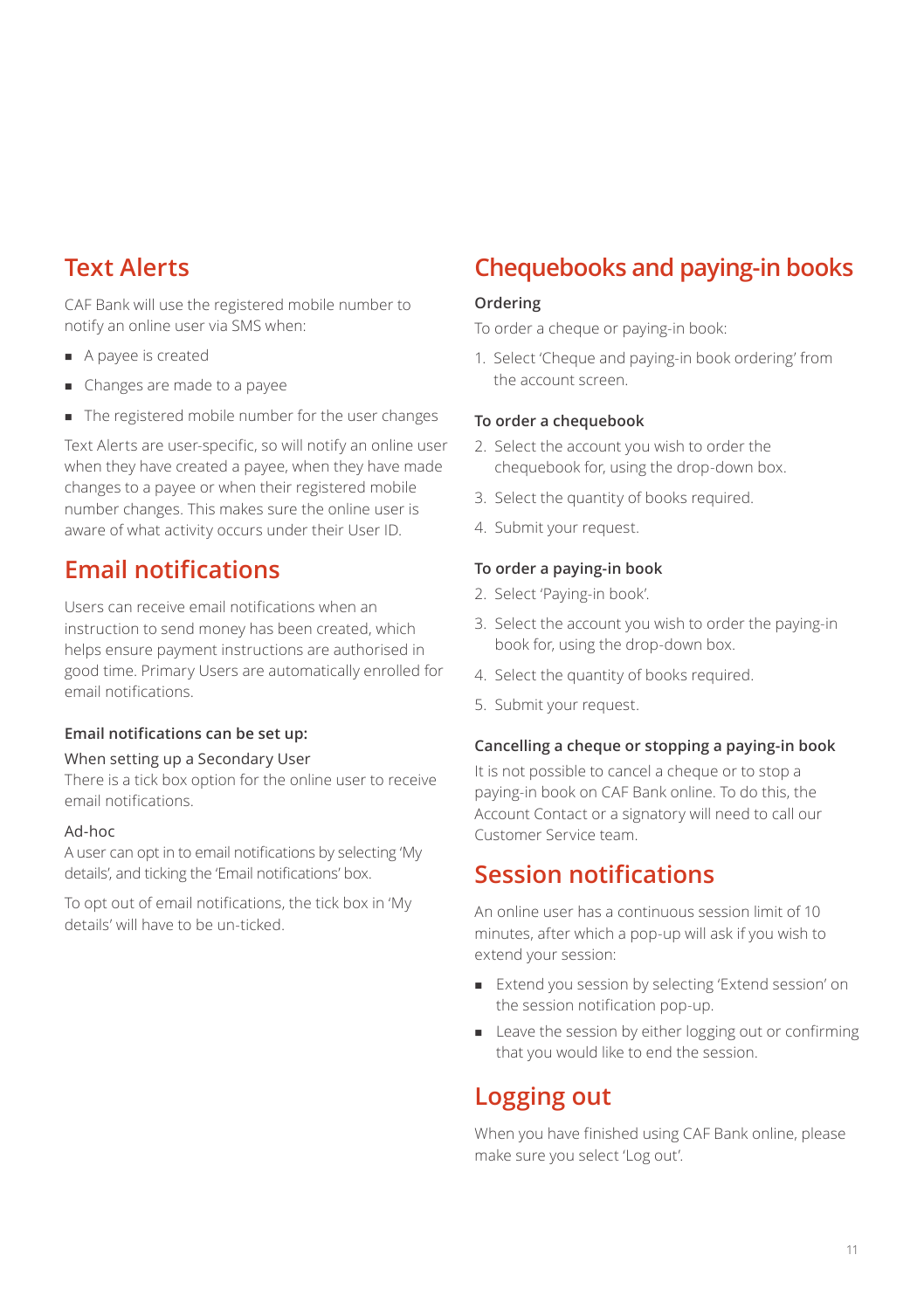# **Text Alerts**

CAF Bank will use the registered mobile number to notify an online user via SMS when:

- A payee is created
- Changes are made to a payee
- The registered mobile number for the user changes

Text Alerts are user-specific, so will notify an online user when they have created a payee, when they have made changes to a payee or when their registered mobile number changes. This makes sure the online user is aware of what activity occurs under their User ID.

### **Email notifications**

Users can receive email notifications when an instruction to send money has been created, which helps ensure payment instructions are authorised in good time. Primary Users are automatically enrolled for email notifications.

#### **Email notifications can be set up:**

#### When setting up a Secondary User

There is a tick box option for the online user to receive email notifications.

#### Ad-hoc

A user can opt in to email notifications by selecting 'My details', and ticking the 'Email notifications' box.

To opt out of email notifications, the tick box in 'My details' will have to be un-ticked.

# **Chequebooks and paying-in books**

#### **Ordering**

To order a cheque or paying-in book:

1. Select 'Cheque and paying-in book ordering' from the account screen.

#### **To order a chequebook**

- 2. Select the account you wish to order the chequebook for, using the drop-down box.
- 3. Select the quantity of books required.
- 4. Submit your request.

#### **To order a paying-in book**

- 2. Select 'Paying-in book'.
- 3. Select the account you wish to order the paying-in book for, using the drop-down box.
- 4. Select the quantity of books required.
- 5. Submit your request.

#### **Cancelling a cheque or stopping a paying-in book**

It is not possible to cancel a cheque or to stop a paying-in book on CAF Bank online. To do this, the Account Contact or a signatory will need to call our Customer Service team.

### **Session notifications**

An online user has a continuous session limit of 10 minutes, after which a pop-up will ask if you wish to extend your session:

- <sup>n</sup> Extend you session by selecting 'Extend session' on the session notification pop-up.
- Leave the session by either logging out or confirming that you would like to end the session.

### **Logging out**

When you have finished using CAF Bank online, please make sure you select 'Log out'.